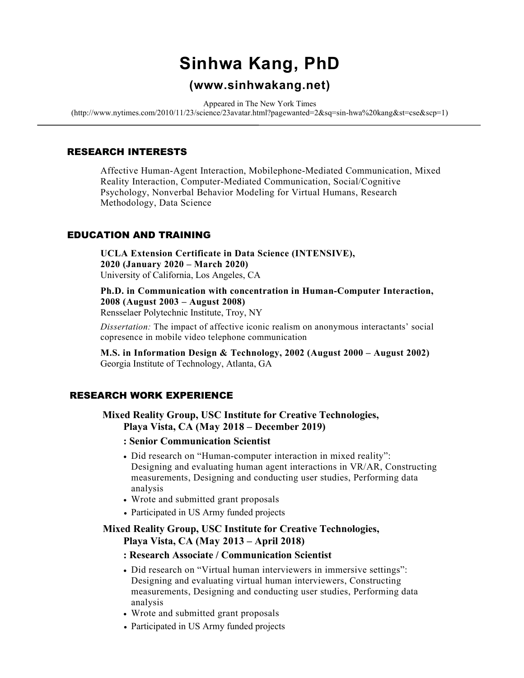# Sinhwa Kang, PhD

## (www.sinhwakang.net)

Appeared in The New York Times

(http://www.nytimes.com/2010/11/23/science/23avatar.html?pagewanted=2&sq=sin-hwa%20kang&st=cse&scp=1)

#### RESEARCH INTERESTS

Affective Human-Agent Interaction, Mobilephone-Mediated Communication, Mixed Reality Interaction, Computer-Mediated Communication, Social/Cognitive Psychology, Nonverbal Behavior Modeling for Virtual Humans, Research Methodology, Data Science

#### EDUCATION AND TRAINING

UCLA Extension Certificate in Data Science (INTENSIVE), 2020 (January 2020 – March 2020) University of California, Los Angeles, CA

Ph.D. in Communication with concentration in Human-Computer Interaction, 2008 (August 2003 – August 2008) Rensselaer Polytechnic Institute, Troy, NY

Dissertation: The impact of affective iconic realism on anonymous interactants' social copresence in mobile video telephone communication

M.S. in Information Design & Technology, 2002 (August 2000 – August 2002) Georgia Institute of Technology, Atlanta, GA

## RESEARCH WORK EXPERIENCE

 Mixed Reality Group, USC Institute for Creative Technologies, Playa Vista, CA (May 2018 – December 2019)

- : Senior Communication Scientist
- Did research on "Human-computer interaction in mixed reality": Designing and evaluating human agent interactions in VR/AR, Constructing measurements, Designing and conducting user studies, Performing data analysis
- Wrote and submitted grant proposals
- Participated in US Army funded projects

#### Mixed Reality Group, USC Institute for Creative Technologies, Playa Vista, CA (May 2013 – April 2018)

#### : Research Associate / Communication Scientist

- Did research on "Virtual human interviewers in immersive settings": Designing and evaluating virtual human interviewers, Constructing measurements, Designing and conducting user studies, Performing data analysis
- Wrote and submitted grant proposals
- Participated in US Army funded projects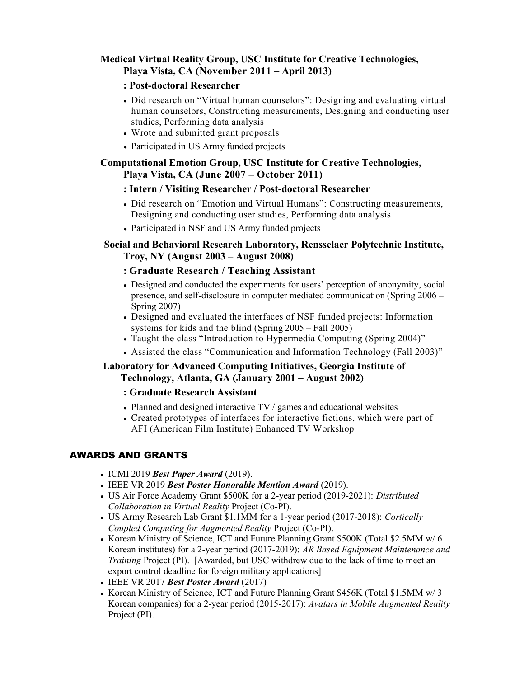## Medical Virtual Reality Group, USC Institute for Creative Technologies, Playa Vista, CA (November 2011 – April 2013)

#### : Post-doctoral Researcher

- Did research on "Virtual human counselors": Designing and evaluating virtual human counselors, Constructing measurements, Designing and conducting user studies, Performing data analysis
- Wrote and submitted grant proposals
- Participated in US Army funded projects

#### Computational Emotion Group, USC Institute for Creative Technologies, Playa Vista, CA (June 2007 – October 2011)

#### : Intern / Visiting Researcher / Post-doctoral Researcher

- Did research on "Emotion and Virtual Humans": Constructing measurements, Designing and conducting user studies, Performing data analysis
- Participated in NSF and US Army funded projects

## Social and Behavioral Research Laboratory, Rensselaer Polytechnic Institute, Troy, NY (August 2003 – August 2008)

#### : Graduate Research / Teaching Assistant

- Designed and conducted the experiments for users' perception of anonymity, social presence, and self-disclosure in computer mediated communication (Spring 2006 – Spring 2007)
- Designed and evaluated the interfaces of NSF funded projects: Information systems for kids and the blind (Spring 2005 – Fall 2005)
- Taught the class "Introduction to Hypermedia Computing (Spring 2004)"
- Assisted the class "Communication and Information Technology (Fall 2003)"

#### Laboratory for Advanced Computing Initiatives, Georgia Institute of Technology, Atlanta, GA (January 2001 – August 2002)

#### : Graduate Research Assistant

- Planned and designed interactive TV / games and educational websites
- Created prototypes of interfaces for interactive fictions, which were part of AFI (American Film Institute) Enhanced TV Workshop

## AWARDS AND GRANTS

- $\bullet$  ICMI 2019 Best Paper Award (2019).
- IEEE VR 2019 Best Poster Honorable Mention Award (2019).
- US Air Force Academy Grant \$500K for a 2-year period (2019-2021): Distributed Collaboration in Virtual Reality Project (Co-PI).
- US Army Research Lab Grant \$1.1MM for a 1-year period (2017-2018): Cortically Coupled Computing for Augmented Reality Project (Co-PI).
- Korean Ministry of Science, ICT and Future Planning Grant \$500K (Total \$2.5MM w/6) Korean institutes) for a 2-year period (2017-2019): AR Based Equipment Maintenance and Training Project (PI). [Awarded, but USC withdrew due to the lack of time to meet an export control deadline for foreign military applications]
- $\bullet$  IEEE VR 2017 Best Poster Award (2017)
- Korean Ministry of Science, ICT and Future Planning Grant \$456K (Total \$1.5MM w/ 3 Korean companies) for a 2-year period (2015-2017): Avatars in Mobile Augmented Reality Project (PI).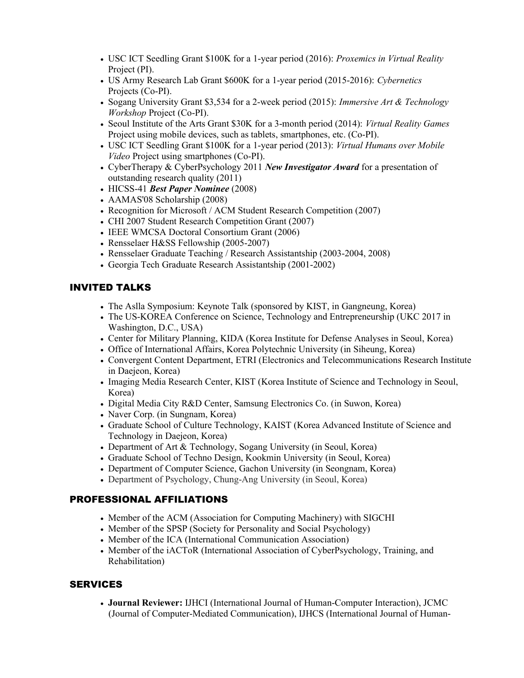- USC ICT Seedling Grant \$100K for a 1-year period (2016): Proxemics in Virtual Reality Project (PI).
- US Army Research Lab Grant \$600K for a 1-year period (2015-2016): Cybernetics Projects (Co-PI).
- Sogang University Grant \$3,534 for a 2-week period (2015): *Immersive Art & Technology* Workshop Project (Co-PI).
- Seoul Institute of the Arts Grant \$30K for a 3-month period (2014): Virtual Reality Games Project using mobile devices, such as tablets, smartphones, etc. (Co-PI).
- USC ICT Seedling Grant \$100K for a 1-year period (2013): Virtual Humans over Mobile Video Project using smartphones (Co-PI).
- CyberTherapy & CyberPsychology 2011 New Investigator Award for a presentation of outstanding research quality (2011)
- HICSS-41 Best Paper Nominee (2008)
- AAMAS'08 Scholarship (2008)
- Recognition for Microsoft / ACM Student Research Competition (2007)
- CHI 2007 Student Research Competition Grant (2007)
- IEEE WMCSA Doctoral Consortium Grant (2006)
- Rensselaer H&SS Fellowship (2005-2007)
- Rensselaer Graduate Teaching / Research Assistantship (2003-2004, 2008)
- Georgia Tech Graduate Research Assistantship (2001-2002)

#### INVITED TALKS

- The Aslla Symposium: Keynote Talk (sponsored by KIST, in Gangneung, Korea)
- The US-KOREA Conference on Science, Technology and Entrepreneurship (UKC 2017 in Washington, D.C., USA)
- Center for Military Planning, KIDA (Korea Institute for Defense Analyses in Seoul, Korea)
- Office of International Affairs, Korea Polytechnic University (in Siheung, Korea)
- Convergent Content Department, ETRI (Electronics and Telecommunications Research Institute in Daejeon, Korea)
- Imaging Media Research Center, KIST (Korea Institute of Science and Technology in Seoul, Korea)
- Digital Media City R&D Center, Samsung Electronics Co. (in Suwon, Korea)
- Naver Corp. (in Sungnam, Korea)
- Graduate School of Culture Technology, KAIST (Korea Advanced Institute of Science and Technology in Daejeon, Korea)
- Department of Art & Technology, Sogang University (in Seoul, Korea)
- Graduate School of Techno Design, Kookmin University (in Seoul, Korea)
- Department of Computer Science, Gachon University (in Seongnam, Korea)
- Department of Psychology, Chung-Ang University (in Seoul, Korea)

#### PROFESSIONAL AFFILIATIONS

- Member of the ACM (Association for Computing Machinery) with SIGCHI
- Member of the SPSP (Society for Personality and Social Psychology)
- Member of the ICA (International Communication Association)
- Member of the iACToR (International Association of CyberPsychology, Training, and Rehabilitation)

## **SERVICES**

 Journal Reviewer: IJHCI (International Journal of Human-Computer Interaction), JCMC (Journal of Computer-Mediated Communication), IJHCS (International Journal of Human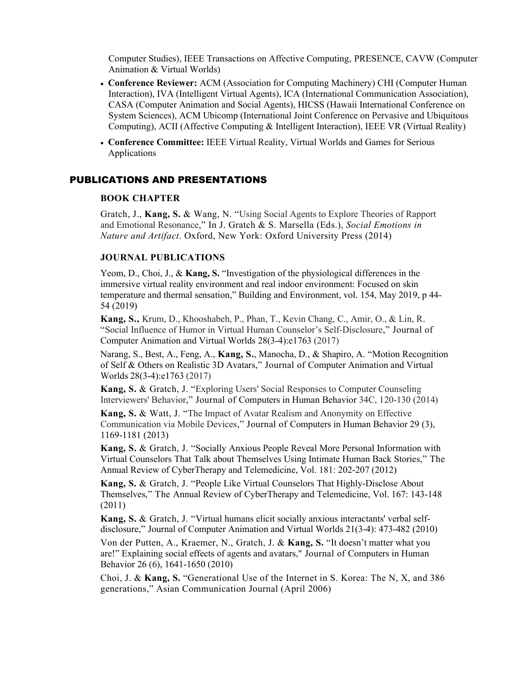Computer Studies), IEEE Transactions on Affective Computing, PRESENCE, CAVW (Computer Animation & Virtual Worlds)

- Conference Reviewer: ACM (Association for Computing Machinery) CHI (Computer Human Interaction), IVA (Intelligent Virtual Agents), ICA (International Communication Association), CASA (Computer Animation and Social Agents), HICSS (Hawaii International Conference on System Sciences), ACM Ubicomp (International Joint Conference on Pervasive and Ubiquitous Computing), ACII (Affective Computing & Intelligent Interaction), IEEE VR (Virtual Reality)
- Conference Committee: IEEE Virtual Reality, Virtual Worlds and Games for Serious Applications

#### PUBLICATIONS AND PRESENTATIONS

#### BOOK CHAPTER

Gratch, J., Kang, S. & Wang, N. "Using Social Agents to Explore Theories of Rapport and Emotional Resonance," In J. Gratch & S. Marsella (Eds.), Social Emotions in Nature and Artifact. Oxford, New York: Oxford University Press (2014)

#### JOURNAL PUBLICATIONS

Yeom, D., Choi, J., & Kang, S. "Investigation of the physiological differences in the immersive virtual reality environment and real indoor environment: Focused on skin temperature and thermal sensation," Building and Environment, vol. 154, May 2019, p 44- 54 (2019)

Kang, S., Krum, D., Khooshabeh, P., Phan, T., Kevin Chang, C., Amir, O., & Lin, R. "Social Influence of Humor in Virtual Human Counselor's Self-Disclosure," Journal of Computer Animation and Virtual Worlds 28(3-4):e1763 (2017)

Narang, S., Best, A., Feng, A., Kang, S., Manocha, D., & Shapiro, A. "Motion Recognition of Self & Others on Realistic 3D Avatars," Journal of Computer Animation and Virtual Worlds 28(3-4):e1763 (2017)

Kang, S. & Gratch, J. "Exploring Users' Social Responses to Computer Counseling Interviewers' Behavior," Journal of Computers in Human Behavior 34C, 120-130 (2014)

Kang, S. & Watt, J. "The Impact of Avatar Realism and Anonymity on Effective Communication via Mobile Devices," Journal of Computers in Human Behavior 29 (3), 1169-1181 (2013)

Kang, S. & Gratch, J. "Socially Anxious People Reveal More Personal Information with Virtual Counselors That Talk about Themselves Using Intimate Human Back Stories," The Annual Review of CyberTherapy and Telemedicine, Vol. 181: 202-207 (2012)

Kang, S. & Gratch, J. "People Like Virtual Counselors That Highly-Disclose About Themselves," The Annual Review of CyberTherapy and Telemedicine, Vol. 167: 143-148 (2011)

Kang, S. & Gratch, J. "Virtual humans elicit socially anxious interactants' verbal selfdisclosure," Journal of Computer Animation and Virtual Worlds 21(3-4): 473-482 (2010)

Von der Putten, A., Kraemer, N., Gratch, J. & Kang, S. "It doesn't matter what you are!" Explaining social effects of agents and avatars," Journal of Computers in Human Behavior 26 (6), 1641-1650 (2010)

Choi, J. & Kang, S. "Generational Use of the Internet in S. Korea: The N, X, and 386 generations," Asian Communication Journal (April 2006)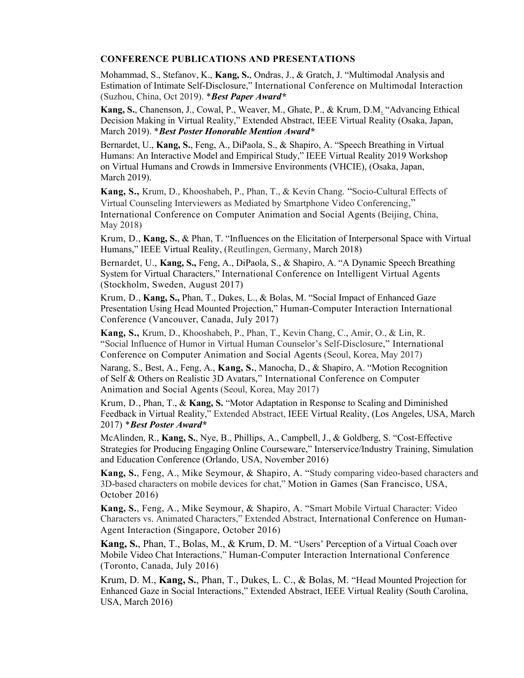#### CONFERENCE PUBLICATIONS AND PRESENTATIONS

Mohammad, S., Stefanov, K., Kang, S., Ondras, J., & Gratch, J. "Multimodal Analysis and Estimation of Intimate Self-Disclosure," International Conference on Multimodal Interaction (Suzhou, China, Oct 2019). \*Best Paper Award\*

Kang, S., Chanenson, J., Cowal, P., Weaver, M., Ghate, P., & Krum, D.M. "Advancing Ethical Decision Making in Virtual Reality," Extended Abstract, IEEE Virtual Reality (Osaka, Japan, March 2019). \* Best Poster Honorable Mention Award\*

Bernardet, U., Kang, S., Feng, A., DiPaola, S., & Shapiro, A. "Speech Breathing in Virtual Humans: An Interactive Model and Empirical Study," IEEE Virtual Reality 2019 Workshop on Virtual Humans and Crowds in Immersive Environments (VHCIE), (Osaka, Japan, March 2019).

Kang, S., Krum, D., Khooshabeh, P., Phan, T., & Kevin Chang. "Socio-Cultural Effects of Virtual Counseling Interviewers as Mediated by Smartphone Video Conferencing," International Conference on Computer Animation and Social Agents (Beijing, China, May 2018)

Krum, D., Kang, S., & Phan, T. "Influences on the Elicitation of Interpersonal Space with Virtual Humans," IEEE Virtual Reality, (Reutlingen, Germany, March 2018)

Bernardet, U., Kang, S., Feng, A., DiPaola, S., & Shapiro, A. "A Dynamic Speech Breathing System for Virtual Characters," International Conference on Intelligent Virtual Agents (Stockholm, Sweden, August 2017)

Krum, D., Kang, S., Phan, T., Dukes, L., & Bolas, M. "Social Impact of Enhanced Gaze Presentation Using Head Mounted Projection," Human-Computer Interaction International Conference (Vancouver, Canada, July 2017)

Kang, S., Krum, D., Khooshabeh, P., Phan, T., Kevin Chang, C., Amir, O., & Lin, R. "Social Influence of Humor in Virtual Human Counselor's Self-Disclosure," International Conference on Computer Animation and Social Agents (Seoul, Korea, May 2017)

Narang, S., Best, A., Feng, A., Kang, S., Manocha, D., & Shapiro, A. "Motion Recognition of Self & Others on Realistic 3D Avatars," International Conference on Computer Animation and Social Agents (Seoul, Korea, May 2017)

Krum, D., Phan, T., & Kang, S. "Motor Adaptation in Response to Scaling and Diminished Feedback in Virtual Reality," Extended Abstract, IEEE Virtual Reality, (Los Angeles, USA, March 2017) \*Best Poster Award\*

McAlinden, R., Kang, S., Nye, B., Phillips, A., Campbell, J., & Goldberg, S. "Cost-Effective Strategies for Producing Engaging Online Courseware," Interservice/Industry Training, Simulation and Education Conference (Orlando, USA, November 2016)

Kang, S., Feng, A., Mike Seymour, & Shapiro, A. "Study comparing video-based characters and 3D-based characters on mobile devices for chat," Motion in Games (San Francisco, USA, October 2016)

Kang, S., Feng, A., Mike Seymour, & Shapiro, A. "Smart Mobile Virtual Character: Video Characters vs. Animated Characters," Extended Abstract, International Conference on Human-Agent Interaction (Singapore, October 2016)

Kang, S., Phan, T., Bolas, M., & Krum, D. M. "Users' Perception of a Virtual Coach over Mobile Video Chat Interactions," Human-Computer Interaction International Conference (Toronto, Canada, July 2016)

Krum, D. M., Kang, S., Phan, T., Dukes, L. C., & Bolas, M. "Head Mounted Projection for Enhanced Gaze in Social Interactions," Extended Abstract, IEEE Virtual Reality (South Carolina, USA, March 2016)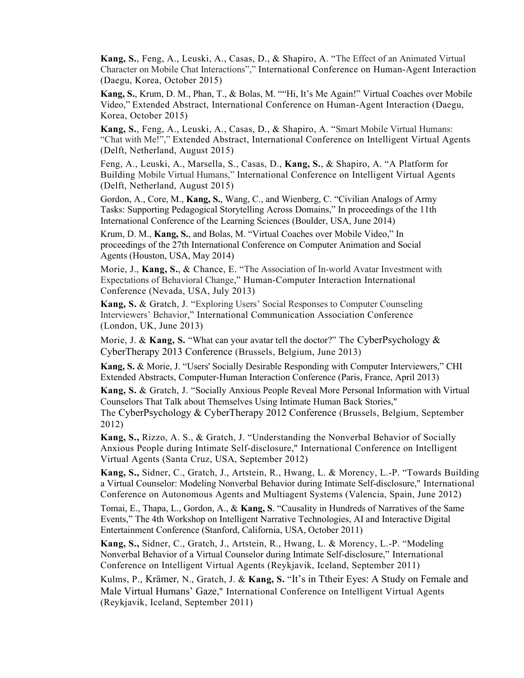Kang, S., Feng, A., Leuski, A., Casas, D., & Shapiro, A. "The Effect of an Animated Virtual Character on Mobile Chat Interactions"," International Conference on Human-Agent Interaction (Daegu, Korea, October 2015)

Kang, S., Krum, D. M., Phan, T., & Bolas, M. ""Hi, It's Me Again!" Virtual Coaches over Mobile Video," Extended Abstract, International Conference on Human-Agent Interaction (Daegu, Korea, October 2015)

Kang, S., Feng, A., Leuski, A., Casas, D., & Shapiro, A. "Smart Mobile Virtual Humans: "Chat with Me!"," Extended Abstract, International Conference on Intelligent Virtual Agents (Delft, Netherland, August 2015)

Feng, A., Leuski, A., Marsella, S., Casas, D., Kang, S., & Shapiro, A. "A Platform for Building Mobile Virtual Humans," International Conference on Intelligent Virtual Agents (Delft, Netherland, August 2015)

Gordon, A., Core, M., Kang, S., Wang, C., and Wienberg, C. "Civilian Analogs of Army Tasks: Supporting Pedagogical Storytelling Across Domains," In proceedings of the 11th International Conference of the Learning Sciences (Boulder, USA, June 2014)

Krum, D. M., Kang, S., and Bolas, M. "Virtual Coaches over Mobile Video," In proceedings of the 27th International Conference on Computer Animation and Social Agents (Houston, USA, May 2014)

Morie, J., Kang, S., & Chance, E. "The Association of In-world Avatar Investment with Expectations of Behavioral Change," Human-Computer Interaction International Conference (Nevada, USA, July 2013)

Kang, S. & Gratch, J. "Exploring Users' Social Responses to Computer Counseling Interviewers' Behavior," International Communication Association Conference (London, UK, June 2013)

Morie, J. & Kang, S. "What can your avatar tell the doctor?" The CyberPsychology  $\&$ CyberTherapy 2013 Conference (Brussels, Belgium, June 2013)

 Kang, S. & Morie, J. "Users' Socially Desirable Responding with Computer Interviewers," CHI Extended Abstracts, Computer-Human Interaction Conference (Paris, France, April 2013)

Kang, S. & Gratch, J. "Socially Anxious People Reveal More Personal Information with Virtual Counselors That Talk about Themselves Using Intimate Human Back Stories,"

The CyberPsychology & CyberTherapy 2012 Conference (Brussels, Belgium, September 2012)

Kang, S., Rizzo, A. S., & Gratch, J. "Understanding the Nonverbal Behavior of Socially Anxious People during Intimate Self-disclosure," International Conference on Intelligent Virtual Agents (Santa Cruz, USA, September 2012)

Kang, S., Sidner, C., Gratch, J., Artstein, R., Hwang, L. & Morency, L.-P. "Towards Building a Virtual Counselor: Modeling Nonverbal Behavior during Intimate Self-disclosure," International Conference on Autonomous Agents and Multiagent Systems (Valencia, Spain, June 2012)

Tomai, E., Thapa, L., Gordon, A., & Kang, S. "Causality in Hundreds of Narratives of the Same Events," The 4th Workshop on Intelligent Narrative Technologies, AI and Interactive Digital Entertainment Conference (Stanford, California, USA, October 2011)

Kang, S., Sidner, C., Gratch, J., Artstein, R., Hwang, L. & Morency, L.-P. "Modeling Nonverbal Behavior of a Virtual Counselor during Intimate Self-disclosure," International Conference on Intelligent Virtual Agents (Reykjavik, Iceland, September 2011)

Kulms, P., Krämer, N., Gratch, J. & Kang, S. "It's in Ttheir Eyes: A Study on Female and Male Virtual Humans' Gaze," International Conference on Intelligent Virtual Agents (Reykjavik, Iceland, September 2011)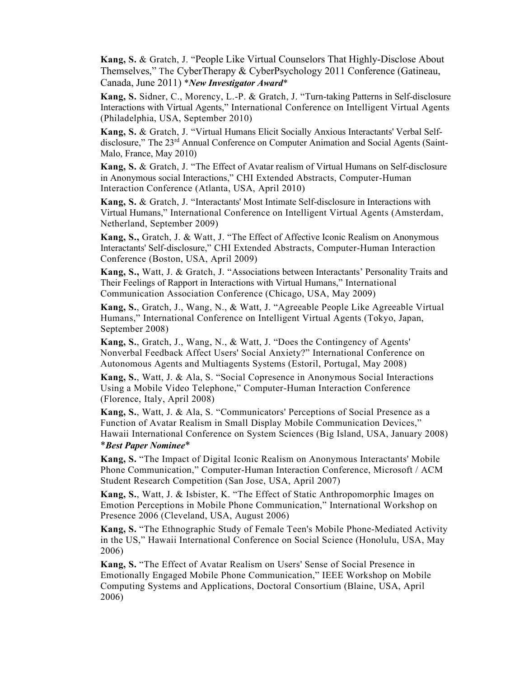Kang, S. & Gratch, J. "People Like Virtual Counselors That Highly-Disclose About Themselves," The CyberTherapy & CyberPsychology 2011 Conference (Gatineau, Canada, June 2011) \*New Investigator Award\*

Kang, S. Sidner, C., Morency, L.-P. & Gratch, J. "Turn-taking Patterns in Self-disclosure Interactions with Virtual Agents," International Conference on Intelligent Virtual Agents (Philadelphia, USA, September 2010)

Kang, S. & Gratch, J. "Virtual Humans Elicit Socially Anxious Interactants' Verbal Selfdisclosure," The 23rd Annual Conference on Computer Animation and Social Agents (Saint-Malo, France, May 2010)

Kang, S. & Gratch, J. "The Effect of Avatar realism of Virtual Humans on Self-disclosure in Anonymous social Interactions," CHI Extended Abstracts, Computer-Human Interaction Conference (Atlanta, USA, April 2010)

Kang, S. & Gratch, J. "Interactants' Most Intimate Self-disclosure in Interactions with Virtual Humans," International Conference on Intelligent Virtual Agents (Amsterdam, Netherland, September 2009)

Kang, S., Gratch, J. & Watt, J. "The Effect of Affective Iconic Realism on Anonymous Interactants' Self-disclosure," CHI Extended Abstracts, Computer-Human Interaction Conference (Boston, USA, April 2009)

Kang, S., Watt, J. & Gratch, J. "Associations between Interactants' Personality Traits and Their Feelings of Rapport in Interactions with Virtual Humans," International Communication Association Conference (Chicago, USA, May 2009)

Kang, S., Gratch, J., Wang, N., & Watt, J. "Agreeable People Like Agreeable Virtual Humans," International Conference on Intelligent Virtual Agents (Tokyo, Japan, September 2008)

Kang, S., Gratch, J., Wang, N., & Watt, J. "Does the Contingency of Agents' Nonverbal Feedback Affect Users' Social Anxiety?" International Conference on Autonomous Agents and Multiagents Systems (Estoril, Portugal, May 2008)

Kang, S., Watt, J. & Ala, S. "Social Copresence in Anonymous Social Interactions Using a Mobile Video Telephone," Computer-Human Interaction Conference (Florence, Italy, April 2008)

Kang, S., Watt, J. & Ala, S. "Communicators' Perceptions of Social Presence as a Function of Avatar Realism in Small Display Mobile Communication Devices," Hawaii International Conference on System Sciences (Big Island, USA, January 2008) \*Best Paper Nominee\*

Kang, S. "The Impact of Digital Iconic Realism on Anonymous Interactants' Mobile Phone Communication," Computer-Human Interaction Conference, Microsoft / ACM Student Research Competition (San Jose, USA, April 2007)

Kang, S., Watt, J. & Isbister, K. "The Effect of Static Anthropomorphic Images on Emotion Perceptions in Mobile Phone Communication," International Workshop on Presence 2006 (Cleveland, USA, August 2006)

Kang, S. "The Ethnographic Study of Female Teen's Mobile Phone-Mediated Activity in the US," Hawaii International Conference on Social Science (Honolulu, USA, May 2006)

Kang, S. "The Effect of Avatar Realism on Users' Sense of Social Presence in Emotionally Engaged Mobile Phone Communication," IEEE Workshop on Mobile Computing Systems and Applications, Doctoral Consortium (Blaine, USA, April 2006)